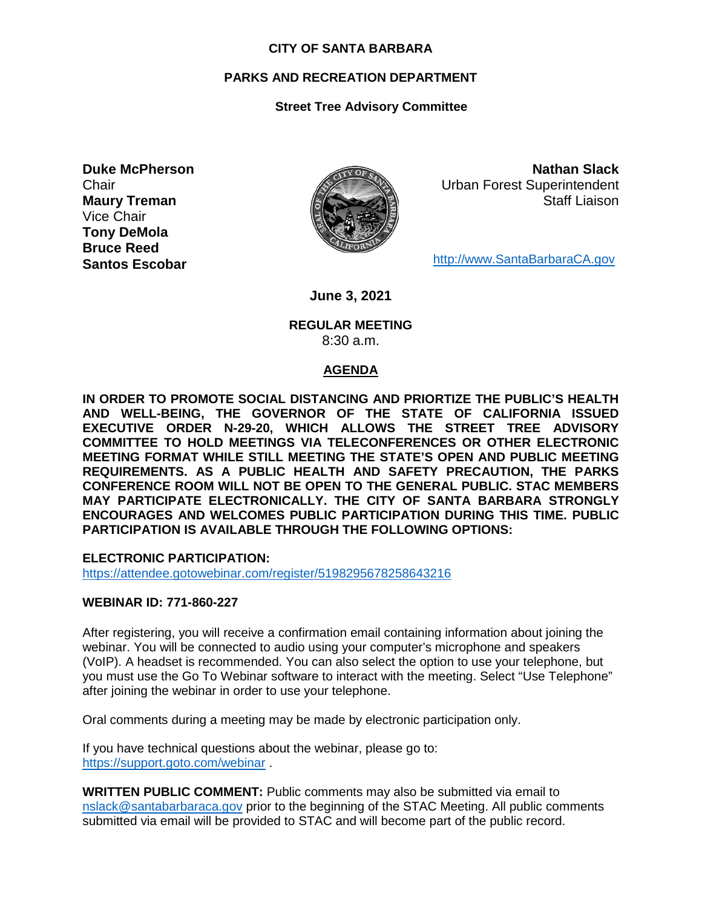#### **CITY OF SANTA BARBARA**

# **PARKS AND RECREATION DEPARTMENT**

# **Street Tree Advisory Committee**

**Duke McPherson Chair Maury Treman** Vice Chair **Tony DeMola Bruce Reed Santos Escobar**



**Nathan Slack** Urban Forest Superintendent Staff Liaison

[http://www.SantaBarbaraCA.gov](http://www.santabarbaraca.gov/)

**June 3, 2021**

### **REGULAR MEETING** 8:30 a.m.

## **AGENDA**

**IN ORDER TO PROMOTE SOCIAL DISTANCING AND PRIORTIZE THE PUBLIC'S HEALTH AND WELL-BEING, THE GOVERNOR OF THE STATE OF CALIFORNIA ISSUED EXECUTIVE ORDER N-29-20, WHICH ALLOWS THE STREET TREE ADVISORY COMMITTEE TO HOLD MEETINGS VIA TELECONFERENCES OR OTHER ELECTRONIC MEETING FORMAT WHILE STILL MEETING THE STATE'S OPEN AND PUBLIC MEETING REQUIREMENTS. AS A PUBLIC HEALTH AND SAFETY PRECAUTION, THE PARKS CONFERENCE ROOM WILL NOT BE OPEN TO THE GENERAL PUBLIC. STAC MEMBERS MAY PARTICIPATE ELECTRONICALLY. THE CITY OF SANTA BARBARA STRONGLY ENCOURAGES AND WELCOMES PUBLIC PARTICIPATION DURING THIS TIME. PUBLIC PARTICIPATION IS AVAILABLE THROUGH THE FOLLOWING OPTIONS:**

**ELECTRONIC PARTICIPATION:** 

<https://attendee.gotowebinar.com/register/5198295678258643216>

## **WEBINAR ID: 771-860-227**

After registering, you will receive a confirmation email containing information about joining the webinar. You will be connected to audio using your computer's microphone and speakers (VoIP). A headset is recommended. You can also select the option to use your telephone, but you must use the Go To Webinar software to interact with the meeting. Select "Use Telephone" after joining the webinar in order to use your telephone.

Oral comments during a meeting may be made by electronic participation only.

If you have technical questions about the webinar, please go to: <https://support.goto.com/webinar> .

**WRITTEN PUBLIC COMMENT:** Public comments may also be submitted via email to [nslack@santabarbaraca.gov](mailto:nslack@santabarbaraca.gov) prior to the beginning of the STAC Meeting. All public comments submitted via email will be provided to STAC and will become part of the public record.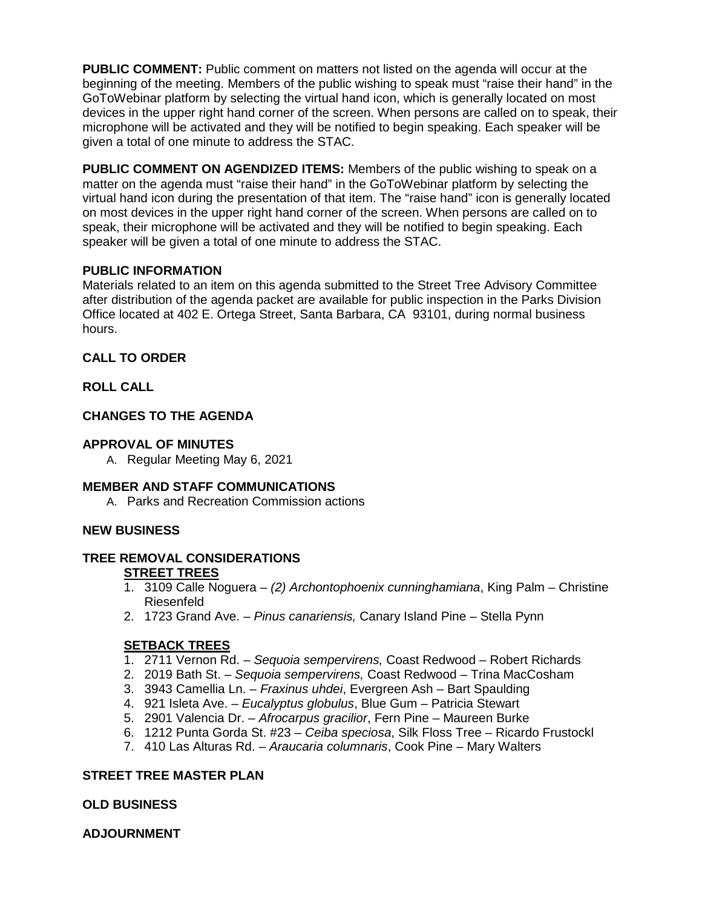**PUBLIC COMMENT:** Public comment on matters not listed on the agenda will occur at the beginning of the meeting. Members of the public wishing to speak must "raise their hand" in the GoToWebinar platform by selecting the virtual hand icon, which is generally located on most devices in the upper right hand corner of the screen. When persons are called on to speak, their microphone will be activated and they will be notified to begin speaking. Each speaker will be given a total of one minute to address the STAC.

**PUBLIC COMMENT ON AGENDIZED ITEMS:** Members of the public wishing to speak on a matter on the agenda must "raise their hand" in the GoToWebinar platform by selecting the virtual hand icon during the presentation of that item. The "raise hand" icon is generally located on most devices in the upper right hand corner of the screen. When persons are called on to speak, their microphone will be activated and they will be notified to begin speaking. Each speaker will be given a total of one minute to address the STAC.

## **PUBLIC INFORMATION**

Materials related to an item on this agenda submitted to the Street Tree Advisory Committee after distribution of the agenda packet are available for public inspection in the Parks Division Office located at 402 E. Ortega Street, Santa Barbara, CA 93101, during normal business hours.

### **CALL TO ORDER**

### **ROLL CALL**

## **CHANGES TO THE AGENDA**

### **APPROVAL OF MINUTES**

A. Regular Meeting May 6, 2021

## **MEMBER AND STAFF COMMUNICATIONS**

A. Parks and Recreation Commission actions

## **NEW BUSINESS**

#### **TREE REMOVAL CONSIDERATIONS STREET TREES**

- 1. 3109 Calle Noguera *(2) Archontophoenix cunninghamiana*, King Palm Christine Riesenfeld
- 2. 1723 Grand Ave. *Pinus canariensis,* Canary Island Pine Stella Pynn

## **SETBACK TREES**

- 1. 2711 Vernon Rd. *Sequoia sempervirens,* Coast Redwood Robert Richards
- 2. 2019 Bath St. *Sequoia sempervirens,* Coast Redwood Trina MacCosham
- 3. 3943 Camellia Ln. *Fraxinus uhdei*, Evergreen Ash Bart Spaulding
- 4. 921 Isleta Ave. *Eucalyptus globulus*, Blue Gum Patricia Stewart
- 5. 2901 Valencia Dr. *Afrocarpus gracilior*, Fern Pine Maureen Burke
- 6. 1212 Punta Gorda St. #23 *Ceiba speciosa*, Silk Floss Tree Ricardo Frustockl
- 7. 410 Las Alturas Rd. *Araucaria columnaris*, Cook Pine Mary Walters

## **STREET TREE MASTER PLAN**

#### **OLD BUSINESS**

**ADJOURNMENT**